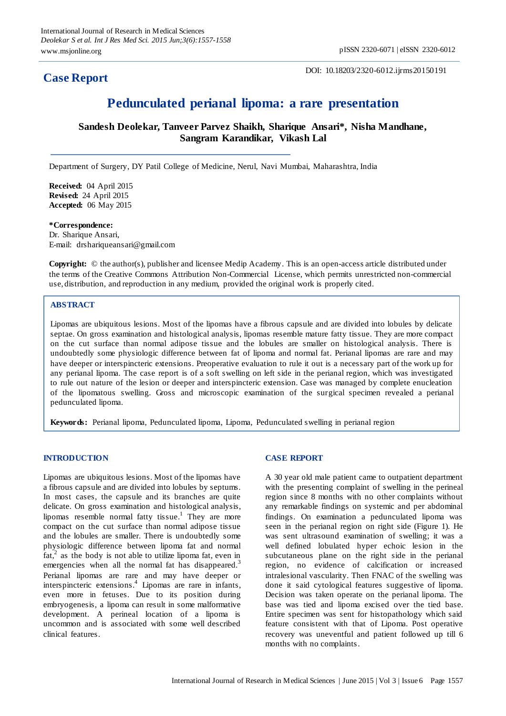## **Case Report**

DOI: 10.18203/2320-6012.ijrms20150191

# **Pedunculated perianal lipoma: a rare presentation**

**Sandesh Deolekar, Tanveer Parvez Shaikh, Sharique Ansari\*, Nisha Mandhane, Sangram Karandikar, Vikash Lal**

Department of Surgery, DY Patil College of Medicine, Nerul, Navi Mumbai, Maharashtra, India

**Received:** 04 April 2015 **Revised:** 24 April 2015 **Accepted:** 06 May 2015

#### **\*Correspondence:**

Dr. Sharique Ansari, E-mail: drshariqueansari@gmail.com

**Copyright:** © the author(s), publisher and licensee Medip Academy. This is an open-access article distributed under the terms of the Creative Commons Attribution Non-Commercial License, which permits unrestricted non-commercial use, distribution, and reproduction in any medium, provided the original work is properly cited.

### **ABSTRACT**

Lipomas are ubiquitous lesions. Most of the lipomas have a fibrous capsule and are divided into lobules by delicate septae. On gross examination and histological analysis, lipomas resemble mature fatty tissue. They are more compact on the cut surface than normal adipose tissue and the lobules are smaller on histological analysis. There is undoubtedly some physiologic difference between fat of lipoma and normal fat. Perianal lipomas are rare and may have deeper or interspincteric extensions. Preoperative evaluation to rule it out is a necessary part of the work up for any perianal lipoma. The case report is of a soft swelling on left side in the perianal region, which was investigated to rule out nature of the lesion or deeper and interspincteric extension. Case was managed by complete enucleation of the lipomatous swelling. Gross and microscopic examination of the surgical specimen revealed a perianal pedunculated lipoma.

**Keywords:** Perianal lipoma, Pedunculated lipoma, Lipoma, Pedunculated swelling in perianal region

#### **INTRODUCTION**

Lipomas are ubiquitous lesions. Most of the lipomas have a fibrous capsule and are divided into lobules by septums. In most cases, the capsule and its branches are quite delicate. On gross examination and histological analysis, lipomas resemble normal fatty tissue.<sup>1</sup> They are more compact on the cut surface than normal adipose tissue and the lobules are smaller. There is undoubtedly some physiologic difference between lipoma fat and normal  $f_{at}^2$  as the body is not able to utilize lipoma fat, even in emergencies when all the normal fat has disappeared.<sup>3</sup> Perianal lipomas are rare and may have deeper or interspincteric extensions. 4 Lipomas are rare in infants, even more in fetuses. Due to its position during embryogenesis, a lipoma can result in some malformative development. A perineal location of a lipoma is uncommon and is associated with some well described clinical features.

#### **CASE REPORT**

A 30 year old male patient came to outpatient department with the presenting complaint of swelling in the perineal region since 8 months with no other complaints without any remarkable findings on systemic and per abdominal findings. On examination a pedunculated lipoma was seen in the perianal region on right side (Figure 1). He was sent ultrasound examination of swelling; it was a well defined lobulated hyper echoic lesion in the subcutaneous plane on the right side in the perianal region, no evidence of calcification or increased intralesional vascularity. Then FNAC of the swelling was done it said cytological features suggestive of lipoma. Decision was taken operate on the perianal lipoma. The base was tied and lipoma excised over the tied base. Entire specimen was sent for histopathology which said feature consistent with that of Lipoma. Post operative recovery was uneventful and patient followed up till 6 months with no complaints.